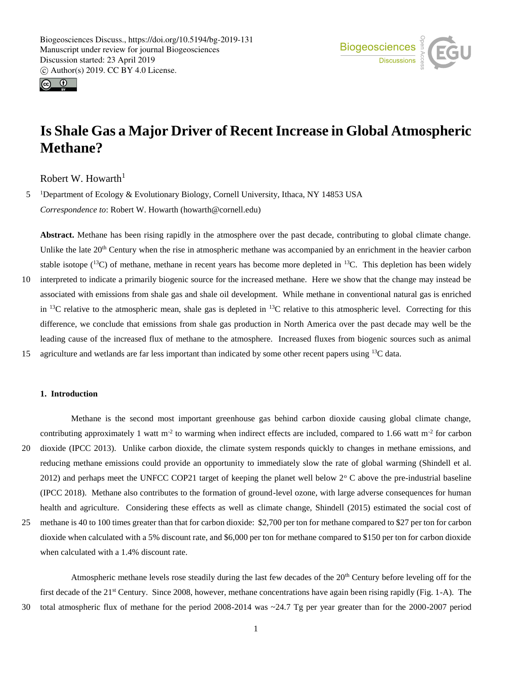



# **Is Shale Gas a Major Driver of Recent Increase in Global Atmospheric Methane?**

Robert W. Howarth<sup>1</sup>

5 <sup>1</sup>Department of Ecology & Evolutionary Biology, Cornell University, Ithaca, NY 14853 USA *Correspondence to*: Robert W. Howarth (howarth@cornell.edu)

**Abstract.** Methane has been rising rapidly in the atmosphere over the past decade, contributing to global climate change. Unlike the late  $20<sup>th</sup>$  Century when the rise in atmospheric methane was accompanied by an enrichment in the heavier carbon stable isotope  $(^{13}C)$  of methane, methane in recent years has become more depleted in <sup>13</sup>C. This depletion has been widely

10 interpreted to indicate a primarily biogenic source for the increased methane. Here we show that the change may instead be associated with emissions from shale gas and shale oil development. While methane in conventional natural gas is enriched in <sup>13</sup>C relative to the atmospheric mean, shale gas is depleted in <sup>13</sup>C relative to this atmospheric level. Correcting for this difference, we conclude that emissions from shale gas production in North America over the past decade may well be the leading cause of the increased flux of methane to the atmosphere. Increased fluxes from biogenic sources such as animal 15 agriculture and wetlands are far less important than indicated by some other recent papers using  $^{13}C$  data.

# **1. Introduction**

Methane is the second most important greenhouse gas behind carbon dioxide causing global climate change, contributing approximately 1 watt m<sup>-2</sup> to warming when indirect effects are included, compared to 1.66 watt m<sup>-2</sup> for carbon 20 dioxide (IPCC 2013). Unlike carbon dioxide, the climate system responds quickly to changes in methane emissions, and reducing methane emissions could provide an opportunity to immediately slow the rate of global warming (Shindell et al. 2012) and perhaps meet the UNFCC COP21 target of keeping the planet well below  $2^{\circ}$ C above the pre-industrial baseline (IPCC 2018). Methane also contributes to the formation of ground-level ozone, with large adverse consequences for human health and agriculture. Considering these effects as well as climate change, Shindell (2015) estimated the social cost of

25 methane is 40 to 100 times greater than that for carbon dioxide: \$2,700 per ton for methane compared to \$27 per ton for carbon dioxide when calculated with a 5% discount rate, and \$6,000 per ton for methane compared to \$150 per ton for carbon dioxide when calculated with a 1.4% discount rate.

Atmospheric methane levels rose steadily during the last few decades of the  $20<sup>th</sup>$  Century before leveling off for the first decade of the 21st Century. Since 2008, however, methane concentrations have again been rising rapidly (Fig. 1-A). The 30 total atmospheric flux of methane for the period 2008-2014 was ~24.7 Tg per year greater than for the 2000-2007 period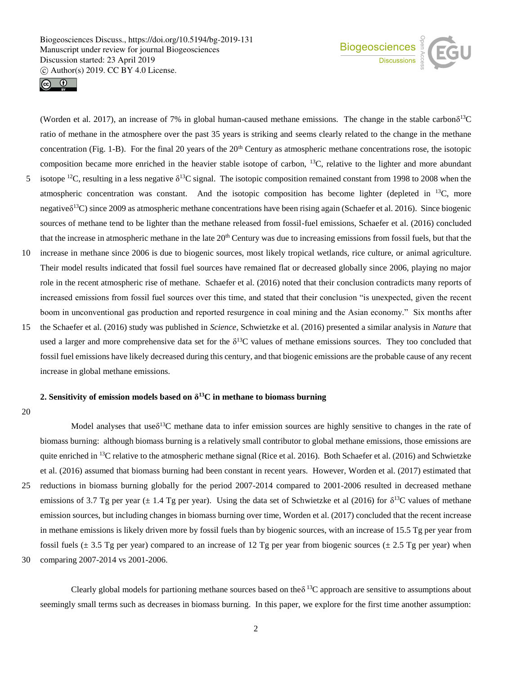



(Worden et al. 2017), an increase of 7% in global human-caused methane emissions. The change in the stable carbon $\delta^{13}C$ ratio of methane in the atmosphere over the past 35 years is striking and seems clearly related to the change in the methane concentration (Fig. 1-B). For the final 20 years of the 20<sup>th</sup> Century as atmospheric methane concentrations rose, the isotopic composition became more enriched in the heavier stable isotope of carbon, <sup>13</sup>C, relative to the lighter and more abundant 5 isotope <sup>12</sup>C, resulting in a less negative  $\delta^{13}$ C signal. The isotopic composition remained constant from 1998 to 2008 when the

- atmospheric concentration was constant. And the isotopic composition has become lighter (depleted in <sup>13</sup>C, more negativeδ<sup>13</sup>C) since 2009 as atmospheric methane concentrations have been rising again (Schaefer et al. 2016). Since biogenic sources of methane tend to be lighter than the methane released from fossil-fuel emissions, Schaefer et al. (2016) concluded that the increase in atmospheric methane in the late 20<sup>th</sup> Century was due to increasing emissions from fossil fuels, but that the
- 10 increase in methane since 2006 is due to biogenic sources, most likely tropical wetlands, rice culture, or animal agriculture. Their model results indicated that fossil fuel sources have remained flat or decreased globally since 2006, playing no major role in the recent atmospheric rise of methane. Schaefer et al. (2016) noted that their conclusion contradicts many reports of increased emissions from fossil fuel sources over this time, and stated that their conclusion "is unexpected, given the recent boom in unconventional gas production and reported resurgence in coal mining and the Asian economy." Six months after
- 15 the Schaefer et al. (2016) study was published in *Science*, Schwietzke et al. (2016) presented a similar analysis in *Nature* that used a larger and more comprehensive data set for the  $\delta^{13}$ C values of methane emissions sources. They too concluded that fossil fuel emissions have likely decreased during this century, and that biogenic emissions are the probable cause of any recent increase in global methane emissions.

## **2. Sensitivity of emission models based on δ <sup>13</sup>C in methane to biomass burning**

20

Model analyses that use $\delta^{13}C$  methane data to infer emission sources are highly sensitive to changes in the rate of biomass burning: although biomass burning is a relatively small contributor to global methane emissions, those emissions are quite enriched in <sup>13</sup>C relative to the atmospheric methane signal (Rice et al. 2016). Both Schaefer et al. (2016) and Schwietzke et al. (2016) assumed that biomass burning had been constant in recent years. However, Worden et al. (2017) estimated that 25 reductions in biomass burning globally for the period 2007-2014 compared to 2001-2006 resulted in decreased methane emissions of 3.7 Tg per year  $(\pm 1.4 \text{ Tg}$  per year). Using the data set of Schwietzke et al (2016) for  $\delta^{13}C$  values of methane emission sources, but including changes in biomass burning over time, Worden et al. (2017) concluded that the recent increase in methane emissions is likely driven more by fossil fuels than by biogenic sources, with an increase of 15.5 Tg per year from fossil fuels  $(\pm 3.5 \text{ Tg per year})$  compared to an increase of 12 Tg per year from biogenic sources  $(\pm 2.5 \text{ Tg per year})$  when 30 comparing 2007-2014 vs 2001-2006.

Clearly global models for partioning methane sources based on the  $\delta^{13}$ C approach are sensitive to assumptions about seemingly small terms such as decreases in biomass burning. In this paper, we explore for the first time another assumption: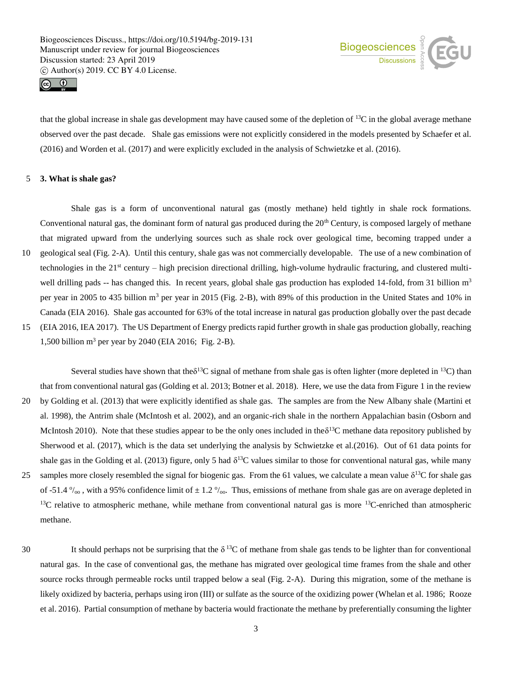



that the global increase in shale gas development may have caused some of the depletion of  $^{13}$ C in the global average methane observed over the past decade. Shale gas emissions were not explicitly considered in the models presented by Schaefer et al. (2016) and Worden et al. (2017) and were explicitly excluded in the analysis of Schwietzke et al. (2016).

# 5 **3. What is shale gas?**

Shale gas is a form of unconventional natural gas (mostly methane) held tightly in shale rock formations. Conventional natural gas, the dominant form of natural gas produced during the 20<sup>th</sup> Century, is composed largely of methane that migrated upward from the underlying sources such as shale rock over geological time, becoming trapped under a 10 geological seal (Fig. 2-A). Until this century, shale gas was not commercially developable. The use of a new combination of technologies in the 21st century – high precision directional drilling, high-volume hydraulic fracturing, and clustered multiwell drilling pads -- has changed this. In recent years, global shale gas production has exploded 14-fold, from 31 billion  $m<sup>3</sup>$ per year in 2005 to 435 billion m<sup>3</sup> per year in 2015 (Fig. 2-B), with 89% of this production in the United States and 10% in Canada (EIA 2016). Shale gas accounted for 63% of the total increase in natural gas production globally over the past decade 15 (EIA 2016, IEA 2017). The US Department of Energy predicts rapid further growth in shale gas production globally, reaching 1,500 billion m<sup>3</sup> per year by 2040 (EIA 2016; Fig. 2-B).

Several studies have shown that the  $\delta^{13}C$  signal of methane from shale gas is often lighter (more depleted in  $^{13}C$ ) than that from conventional natural gas (Golding et al. 2013; Botner et al. 2018). Here, we use the data from Figure 1 in the review 20 by Golding et al. (2013) that were explicitly identified as shale gas. The samples are from the New Albany shale (Martini et al. 1998), the Antrim shale (McIntosh et al. 2002), and an organic-rich shale in the northern Appalachian basin (Osborn and McIntosh 2010). Note that these studies appear to be the only ones included in the  $\delta^{13}C$  methane data repository published by Sherwood et al. (2017), which is the data set underlying the analysis by Schwietzke et al.(2016). Out of 61 data points for shale gas in the Golding et al. (2013) figure, only 5 had  $\delta^{13}$ C values similar to those for conventional natural gas, while many 25 samples more closely resembled the signal for biogenic gas. From the 61 values, we calculate a mean value  $\delta^{13}C$  for shale gas of -51.4  $\%$ <sub>00</sub>, with a 95% confidence limit of  $\pm$  1.2  $\%$ <sub>00</sub>. Thus, emissions of methane from shale gas are on average depleted in  $13C$  relative to atmospheric methane, while methane from conventional natural gas is more  $13C$ -enriched than atmospheric methane.

30 It should perhaps not be surprising that the  $\delta^{13}$ C of methane from shale gas tends to be lighter than for conventional natural gas. In the case of conventional gas, the methane has migrated over geological time frames from the shale and other source rocks through permeable rocks until trapped below a seal (Fig. 2-A). During this migration, some of the methane is likely oxidized by bacteria, perhaps using iron (III) or sulfate as the source of the oxidizing power (Whelan et al. 1986; Rooze et al. 2016). Partial consumption of methane by bacteria would fractionate the methane by preferentially consuming the lighter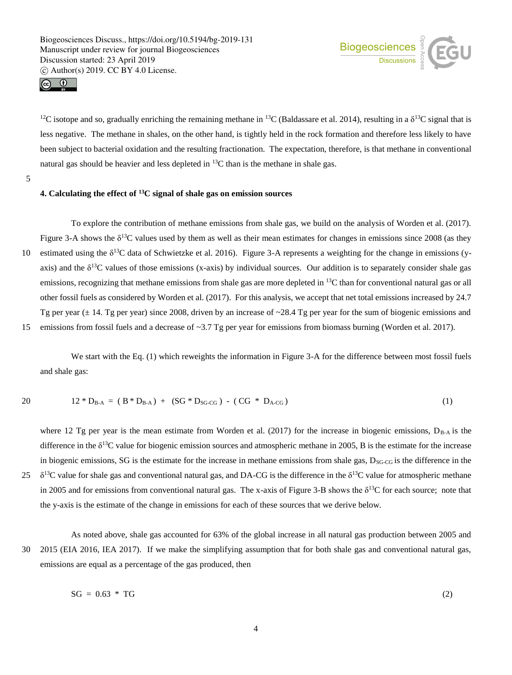



<sup>12</sup>C isotope and so, gradually enriching the remaining methane in <sup>13</sup>C (Baldassare et al. 2014), resulting in a  $\delta^{13}$ C signal that is less negative. The methane in shales, on the other hand, is tightly held in the rock formation and therefore less likely to have been subject to bacterial oxidation and the resulting fractionation. The expectation, therefore, is that methane in conventional natural gas should be heavier and less depleted in  ${}^{13}C$  than is the methane in shale gas.

5

# **4. Calculating the effect of <sup>13</sup>C signal of shale gas on emission sources**

To explore the contribution of methane emissions from shale gas, we build on the analysis of Worden et al. (2017). Figure 3-A shows the  $\delta^{13}C$  values used by them as well as their mean estimates for changes in emissions since 2008 (as they 10 estimated using the  $\delta^{13}C$  data of Schwietzke et al. 2016). Figure 3-A represents a weighting for the change in emissions (yaxis) and the  $\delta^{13}$ C values of those emissions (x-axis) by individual sources. Our addition is to separately consider shale gas emissions, recognizing that methane emissions from shale gas are more depleted in  $^{13}$ C than for conventional natural gas or all other fossil fuels as considered by Worden et al. (2017). For this analysis, we accept that net total emissions increased by 24.7 Tg per year  $(\pm 14$ . Tg per year) since 2008, driven by an increase of ~28.4 Tg per year for the sum of biogenic emissions and 15 emissions from fossil fuels and a decrease of ~3.7 Tg per year for emissions from biomass burning (Worden et al. 2017).

We start with the Eq. (1) which reweights the information in Figure 3-A for the difference between most fossil fuels and shale gas:

$$
12 * D_{B-A} = (B * D_{B-A}) + (SG * D_{SG\cdot CG}) - (CG * D_{A\cdot CG}) \tag{1}
$$

where 12 Tg per year is the mean estimate from Worden et al. (2017) for the increase in biogenic emissions,  $D_{\rm B-A}$  is the difference in the  $\delta^{13}$ C value for biogenic emission sources and atmospheric methane in 2005, B is the estimate for the increase in biogenic emissions, SG is the estimate for the increase in methane emissions from shale gas,  $D_{SG-CG}$  is the difference in the 25  $\delta^{13}$ C value for shale gas and conventional natural gas, and DA-CG is the difference in the  $\delta^{13}$ C value for atmospheric methane in 2005 and for emissions from conventional natural gas. The x-axis of Figure 3-B shows the  $\delta^{13}C$  for each source; note that the y-axis is the estimate of the change in emissions for each of these sources that we derive below.

As noted above, shale gas accounted for 63% of the global increase in all natural gas production between 2005 and 30 2015 (EIA 2016, IEA 2017). If we make the simplifying assumption that for both shale gas and conventional natural gas, emissions are equal as a percentage of the gas produced, then

$$
SG = 0.63 \times TG \tag{2}
$$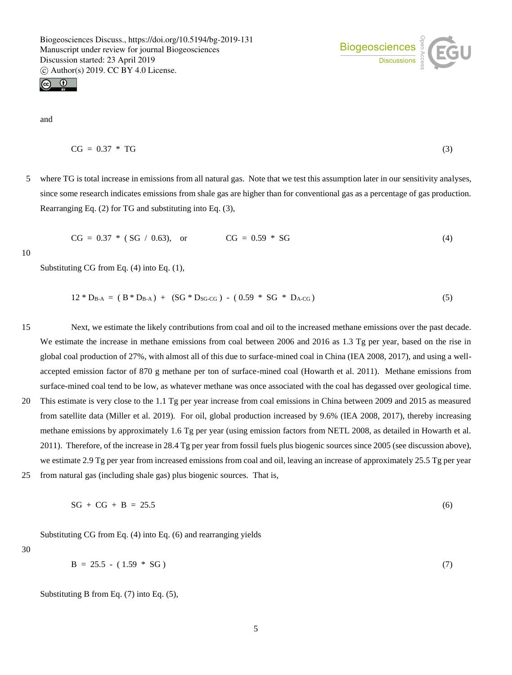

and

$$
CG = 0.37 * TG
$$
 (3)

5 where TG is total increase in emissions from all natural gas. Note that we test this assumption later in our sensitivity analyses, since some research indicates emissions from shale gas are higher than for conventional gas as a percentage of gas production. Rearranging Eq. (2) for TG and substituting into Eq. (3),

$$
CG = 0.37 * (SG / 0.63), or CG = 0.59 * SG
$$
 (4)

10

Substituting CG from Eq. (4) into Eq. (1),

$$
12 * D_{B-A} = (B * D_{B-A}) + (SG * D_{SG\cdot CG}) - (0.59 * SG * D_{A\cdot CG})
$$
\n(5)

15 Next, we estimate the likely contributions from coal and oil to the increased methane emissions over the past decade. We estimate the increase in methane emissions from coal between 2006 and 2016 as 1.3 Tg per year, based on the rise in global coal production of 27%, with almost all of this due to surface-mined coal in China (IEA 2008, 2017), and using a wellaccepted emission factor of 870 g methane per ton of surface-mined coal (Howarth et al. 2011). Methane emissions from surface-mined coal tend to be low, as whatever methane was once associated with the coal has degassed over geological time. 20 This estimate is very close to the 1.1 Tg per year increase from coal emissions in China between 2009 and 2015 as measured from satellite data (Miller et al. 2019). For oil, global production increased by 9.6% (IEA 2008, 2017), thereby increasing methane emissions by approximately 1.6 Tg per year (using emission factors from NETL 2008, as detailed in Howarth et al. 2011). Therefore, of the increase in 28.4 Tg per year from fossil fuels plus biogenic sources since 2005 (see discussion above), we estimate 2.9 Tg per year from increased emissions from coal and oil, leaving an increase of approximately 25.5 Tg per year

25 from natural gas (including shale gas) plus biogenic sources. That is,

$$
SG + CG + B = 25.5 \tag{6}
$$

Substituting CG from Eq. (4) into Eq. (6) and rearranging yields

30

$$
B = 25.5 - (1.59 * SG)
$$
 (7)

Substituting B from Eq. (7) into Eq. (5),

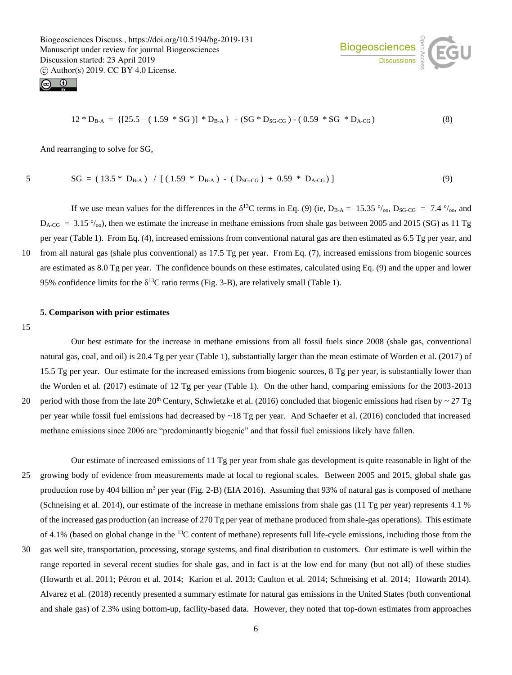



$$
12 * D_{B-A} = \{ [25.5 - (1.59 * SG)] * D_{B-A} \} + (SG * D_{SG \cdot CG}) - (0.59 * SG * D_{A \cdot CG}) \tag{8}
$$

And rearranging to solve for SG,

$$
\,5
$$

 $SG = (13.5 * D_{B-A}) / [(1.59 * D_{B-A}) - (D_{SG-CG}) + 0.59 * D_{A-CG})]$  (9)

If we use mean values for the differences in the  $\delta^{13}C$  terms in Eq. (9) (ie,  $D_{B-A} = 15.35 \degree/_{oo}$ ,  $D_{SG-CG} = 7.4 \degree/_{oo}$ , and  $D_{A-CG}$  = 3.15  $\%$ <sub>00</sub>), then we estimate the increase in methane emissions from shale gas between 2005 and 2015 (SG) as 11 Tg per year (Table 1). From Eq. (4), increased emissions from conventional natural gas are then estimated as 6.5 Tg per year, and 10 from all natural gas (shale plus conventional) as 17.5 Tg per year. From Eq. (7), increased emissions from biogenic sources are estimated as 8.0 Tg per year. The confidence bounds on these estimates, calculated using Eq. (9) and the upper and lower 95% confidence limits for the  $\delta^{13}$ C ratio terms (Fig. 3-B), are relatively small (Table 1).

# **5. Comparison with prior estimates**

15

Our best estimate for the increase in methane emissions from all fossil fuels since 2008 (shale gas, conventional natural gas, coal, and oil) is 20.4 Tg per year (Table 1), substantially larger than the mean estimate of Worden et al. (2017) of 15.5 Tg per year. Our estimate for the increased emissions from biogenic sources, 8 Tg per year, is substantially lower than the Worden et al. (2017) estimate of 12 Tg per year (Table 1). On the other hand, comparing emissions for the 2003-2013 20 period with those from the late  $20<sup>th</sup>$  Century, Schwietzke et al. (2016) concluded that biogenic emissions had risen by  $\sim$  27 Tg per year while fossil fuel emissions had decreased by  $\sim$ 18 Tg per year. And Schaefer et al. (2016) concluded that increased

methane emissions since 2006 are "predominantly biogenic" and that fossil fuel emissions likely have fallen.

- Our estimate of increased emissions of 11 Tg per year from shale gas development is quite reasonable in light of the 25 growing body of evidence from measurements made at local to regional scales. Between 2005 and 2015, global shale gas production rose by 404 billion  $m<sup>3</sup>$  per year (Fig. 2-B) (EIA 2016). Assuming that 93% of natural gas is composed of methane (Schneising et al. 2014), our estimate of the increase in methane emissions from shale gas (11 Tg per year) represents 4.1 % of the increased gas production (an increase of 270 Tg per year of methane produced from shale-gas operations). This estimate of 4.1% (based on global change in the  $^{13}$ C content of methane) represents full life-cycle emissions, including those from the
- 30 gas well site, transportation, processing, storage systems, and final distribution to customers. Our estimate is well within the range reported in several recent studies for shale gas, and in fact is at the low end for many (but not all) of these studies (Howarth et al. 2011; Pétron et al. 2014; Karion et al. 2013; Caulton et al. 2014; Schneising et al. 2014; Howarth 2014). Alvarez et al. (2018) recently presented a summary estimate for natural gas emissions in the United States (both conventional and shale gas) of 2.3% using bottom-up, facility-based data. However, they noted that top-down estimates from approaches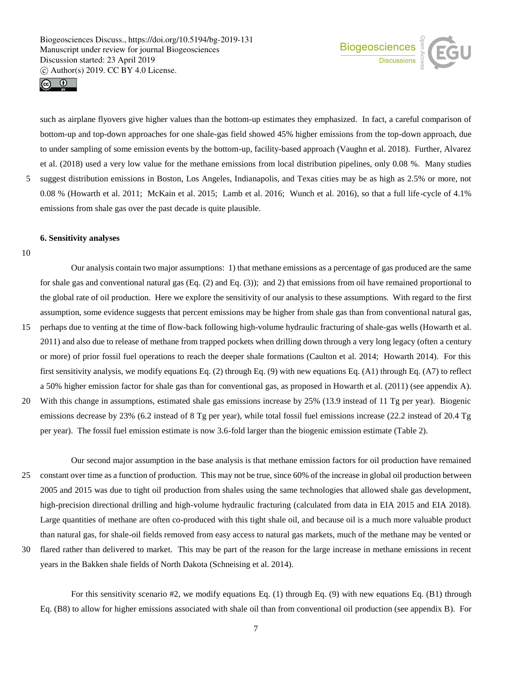



such as airplane flyovers give higher values than the bottom-up estimates they emphasized. In fact, a careful comparison of bottom-up and top-down approaches for one shale-gas field showed 45% higher emissions from the top-down approach, due to under sampling of some emission events by the bottom-up, facility-based approach (Vaughn et al. 2018). Further, Alvarez et al. (2018) used a very low value for the methane emissions from local distribution pipelines, only 0.08 %. Many studies 5 suggest distribution emissions in Boston, Los Angeles, Indianapolis, and Texas cities may be as high as 2.5% or more, not 0.08 % (Howarth et al. 2011; McKain et al. 2015; Lamb et al. 2016; Wunch et al. 2016), so that a full life-cycle of 4.1% emissions from shale gas over the past decade is quite plausible.

#### **6. Sensitivity analyses**

10

Our analysis contain two major assumptions: 1) that methane emissions as a percentage of gas produced are the same for shale gas and conventional natural gas (Eq. (2) and Eq. (3)); and 2) that emissions from oil have remained proportional to the global rate of oil production. Here we explore the sensitivity of our analysis to these assumptions. With regard to the first assumption, some evidence suggests that percent emissions may be higher from shale gas than from conventional natural gas, 15 perhaps due to venting at the time of flow-back following high-volume hydraulic fracturing of shale-gas wells (Howarth et al. 2011) and also due to release of methane from trapped pockets when drilling down through a very long legacy (often a century or more) of prior fossil fuel operations to reach the deeper shale formations (Caulton et al. 2014; Howarth 2014). For this first sensitivity analysis, we modify equations Eq. (2) through Eq. (9) with new equations Eq. (A1) through Eq. (A7) to reflect a 50% higher emission factor for shale gas than for conventional gas, as proposed in Howarth et al. (2011) (see appendix A). 20 With this change in assumptions, estimated shale gas emissions increase by 25% (13.9 instead of 11 Tg per year). Biogenic

- emissions decrease by 23% (6.2 instead of 8 Tg per year), while total fossil fuel emissions increase (22.2 instead of 20.4 Tg per year). The fossil fuel emission estimate is now 3.6-fold larger than the biogenic emission estimate (Table 2).
- Our second major assumption in the base analysis is that methane emission factors for oil production have remained 25 constant over time as a function of production. This may not be true, since 60% of the increase in global oil production between 2005 and 2015 was due to tight oil production from shales using the same technologies that allowed shale gas development, high-precision directional drilling and high-volume hydraulic fracturing (calculated from data in EIA 2015 and EIA 2018). Large quantities of methane are often co-produced with this tight shale oil, and because oil is a much more valuable product than natural gas, for shale-oil fields removed from easy access to natural gas markets, much of the methane may be vented or
- 30 flared rather than delivered to market. This may be part of the reason for the large increase in methane emissions in recent years in the Bakken shale fields of North Dakota (Schneising et al. 2014).

For this sensitivity scenario #2, we modify equations Eq. (1) through Eq. (9) with new equations Eq. (B1) through Eq. (B8) to allow for higher emissions associated with shale oil than from conventional oil production (see appendix B). For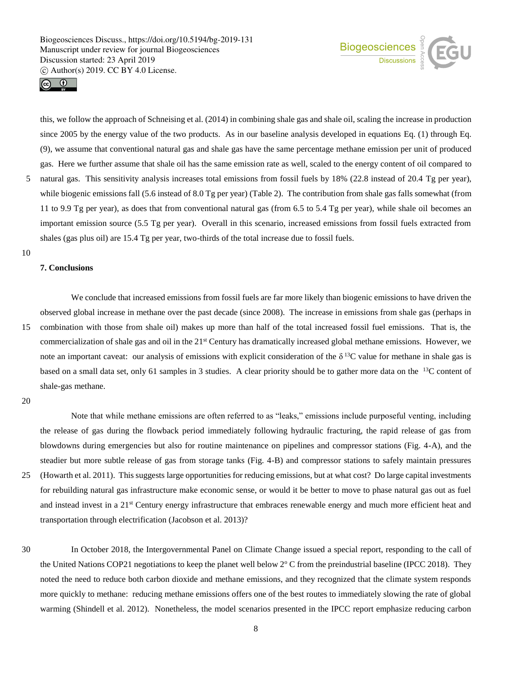



this, we follow the approach of Schneising et al. (2014) in combining shale gas and shale oil, scaling the increase in production since 2005 by the energy value of the two products. As in our baseline analysis developed in equations Eq. (1) through Eq. (9), we assume that conventional natural gas and shale gas have the same percentage methane emission per unit of produced gas. Here we further assume that shale oil has the same emission rate as well, scaled to the energy content of oil compared to 5 natural gas. This sensitivity analysis increases total emissions from fossil fuels by 18% (22.8 instead of 20.4 Tg per year), while biogenic emissions fall (5.6 instead of 8.0 Tg per year) (Table 2). The contribution from shale gas falls somewhat (from 11 to 9.9 Tg per year), as does that from conventional natural gas (from 6.5 to 5.4 Tg per year), while shale oil becomes an important emission source (5.5 Tg per year). Overall in this scenario, increased emissions from fossil fuels extracted from shales (gas plus oil) are 15.4 Tg per year, two-thirds of the total increase due to fossil fuels.

10

# **7. Conclusions**

We conclude that increased emissions from fossil fuels are far more likely than biogenic emissions to have driven the observed global increase in methane over the past decade (since 2008). The increase in emissions from shale gas (perhaps in 15 combination with those from shale oil) makes up more than half of the total increased fossil fuel emissions. That is, the commercialization of shale gas and oil in the 21st Century has dramatically increased global methane emissions. However, we note an important caveat: our analysis of emissions with explicit consideration of the  $\delta^{13}$ C value for methane in shale gas is based on a small data set, only 61 samples in 3 studies. A clear priority should be to gather more data on the <sup>13</sup>C content of shale-gas methane.

Note that while methane emissions are often referred to as "leaks," emissions include purposeful venting, including the release of gas during the flowback period immediately following hydraulic fracturing, the rapid release of gas from blowdowns during emergencies but also for routine maintenance on pipelines and compressor stations (Fig. 4-A), and the steadier but more subtle release of gas from storage tanks (Fig. 4-B) and compressor stations to safely maintain pressures 25 (Howarth et al. 2011). This suggests large opportunities for reducing emissions, but at what cost? Do large capital investments for rebuilding natural gas infrastructure make economic sense, or would it be better to move to phase natural gas out as fuel

and instead invest in a 21<sup>st</sup> Century energy infrastructure that embraces renewable energy and much more efficient heat and transportation through electrification (Jacobson et al. 2013)?

30 In October 2018, the Intergovernmental Panel on Climate Change issued a special report, responding to the call of the United Nations COP21 negotiations to keep the planet well below  $2^{\circ}$  C from the preindustrial baseline (IPCC 2018). They noted the need to reduce both carbon dioxide and methane emissions, and they recognized that the climate system responds more quickly to methane: reducing methane emissions offers one of the best routes to immediately slowing the rate of global warming (Shindell et al. 2012). Nonetheless, the model scenarios presented in the IPCC report emphasize reducing carbon

<sup>20</sup>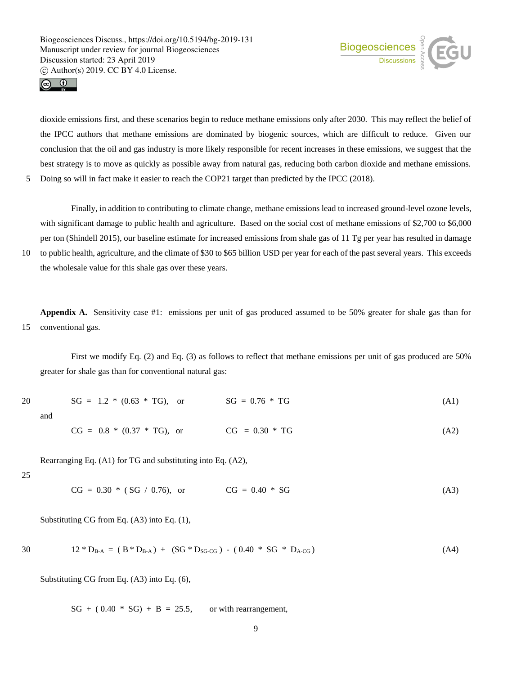



dioxide emissions first, and these scenarios begin to reduce methane emissions only after 2030. This may reflect the belief of the IPCC authors that methane emissions are dominated by biogenic sources, which are difficult to reduce. Given our conclusion that the oil and gas industry is more likely responsible for recent increases in these emissions, we suggest that the best strategy is to move as quickly as possible away from natural gas, reducing both carbon dioxide and methane emissions. 5 Doing so will in fact make it easier to reach the COP21 target than predicted by the IPCC (2018).

Finally, in addition to contributing to climate change, methane emissions lead to increased ground-level ozone levels, with significant damage to public health and agriculture. Based on the social cost of methane emissions of \$2,700 to \$6,000 per ton (Shindell 2015), our baseline estimate for increased emissions from shale gas of 11 Tg per year has resulted in damage

10 to public health, agriculture, and the climate of \$30 to \$65 billion USD per year for each of the past several years. This exceeds the wholesale value for this shale gas over these years.

**Appendix A.**Sensitivity case #1: emissions per unit of gas produced assumed to be 50% greater for shale gas than for 15 conventional gas.

First we modify Eq. (2) and Eq. (3) as follows to reflect that methane emissions per unit of gas produced are 50% greater for shale gas than for conventional natural gas:

| 20  | $SG = 1.2 * (0.63 * TG)$ , or | $SG = 0.76 * TG$ | (A1) |
|-----|-------------------------------|------------------|------|
| and |                               |                  |      |
|     | $CG = 0.8 * (0.37 * TG)$ , or | $CG = 0.30 * TG$ | (A2) |

Rearranging Eq. (A1) for TG and substituting into Eq. (A2),

```
25
```
 $CG = 0.30 * (SG / 0.76),$  or  $CG = 0.40 * SG$  (A3)

Substituting CG from Eq. (A3) into Eq. (1),

$$
12 * D_{B-A} = (B * D_{B-A}) + (SG * D_{SG \cdot CG}) - (0.40 * SG * D_{A \cdot CG}) \tag{A4}
$$

Substituting CG from Eq. (A3) into Eq. (6),

 $SG + (0.40 * SG) + B = 25.5$ , or with rearrangement,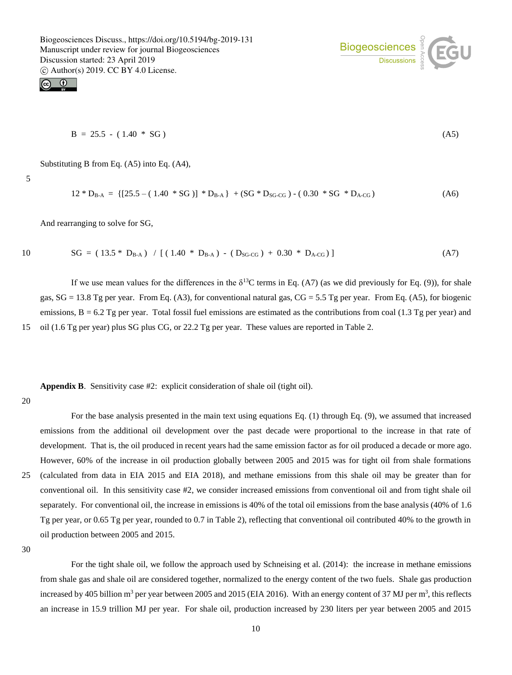



$$
B = 25.5 - (1.40 * SG)
$$
 (A5)

Substituting B from Eq. (A5) into Eq. (A4),

5

$$
12 * D_{B-A} = \{ [25.5 - (1.40 * SG)] * D_{B-A} \} + (SG * D_{SG \cdot CG}) - (0.30 * SG * D_{A \cdot CG}) \tag{A6}
$$

And rearranging to solve for SG,

10 
$$
SG = (13.5 * D_{B-A}) / [(1.40 * D_{B-A}) - (D_{SG \cdot CG}) + 0.30 * D_{A \cdot CG})]
$$
 (A7)

If we use mean values for the differences in the  $\delta^{13}C$  terms in Eq. (A7) (as we did previously for Eq. (9)), for shale gas, SG = 13.8 Tg per year. From Eq. (A3), for conventional natural gas, CG = 5.5 Tg per year. From Eq. (A5), for biogenic emissions,  $B = 6.2$  Tg per year. Total fossil fuel emissions are estimated as the contributions from coal (1.3 Tg per year) and 15 oil (1.6 Tg per year) plus SG plus CG, or 22.2 Tg per year. These values are reported in Table 2.

**Appendix B**. Sensitivity case #2: explicit consideration of shale oil (tight oil).

### 20

For the base analysis presented in the main text using equations Eq. (1) through Eq. (9), we assumed that increased emissions from the additional oil development over the past decade were proportional to the increase in that rate of development. That is, the oil produced in recent years had the same emission factor as for oil produced a decade or more ago. However, 60% of the increase in oil production globally between 2005 and 2015 was for tight oil from shale formations 25 (calculated from data in EIA 2015 and EIA 2018), and methane emissions from this shale oil may be greater than for conventional oil. In this sensitivity case #2, we consider increased emissions from conventional oil and from tight shale oil separately. For conventional oil, the increase in emissions is 40% of the total oil emissions from the base analysis (40% of 1.6 Tg per year, or 0.65 Tg per year, rounded to 0.7 in Table 2), reflecting that conventional oil contributed 40% to the growth in oil production between 2005 and 2015.

30

For the tight shale oil, we follow the approach used by Schneising et al. (2014): the increase in methane emissions from shale gas and shale oil are considered together, normalized to the energy content of the two fuels. Shale gas production increased by 405 billion m<sup>3</sup> per year between 2005 and 2015 (EIA 2016). With an energy content of 37 MJ per m<sup>3</sup>, this reflects an increase in 15.9 trillion MJ per year. For shale oil, production increased by 230 liters per year between 2005 and 2015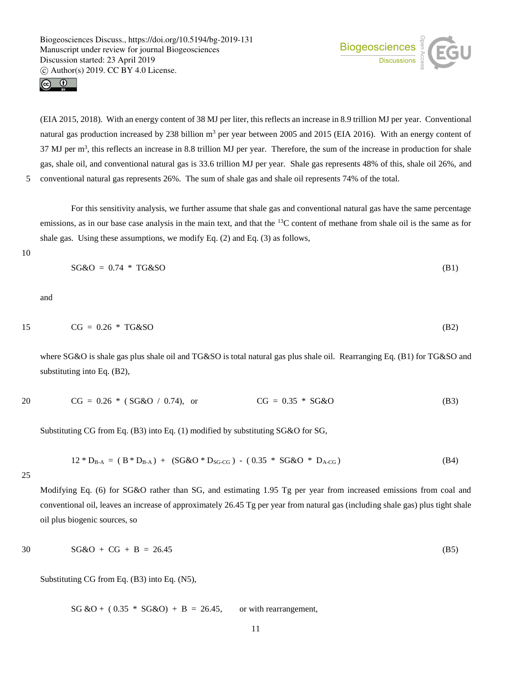Biogeosciences  $\frac{9}{2}$ 



(EIA 2015, 2018). With an energy content of 38 MJ per liter, this reflects an increase in 8.9 trillion MJ per year. Conventional natural gas production increased by 238 billion  $m<sup>3</sup>$  per year between 2005 and 2015 (EIA 2016). With an energy content of  $37$  MJ per  $m<sup>3</sup>$ , this reflects an increase in 8.8 trillion MJ per year. Therefore, the sum of the increase in production for shale gas, shale oil, and conventional natural gas is 33.6 trillion MJ per year. Shale gas represents 48% of this, shale oil 26%, and 5 conventional natural gas represents 26%. The sum of shale gas and shale oil represents 74% of the total.

For this sensitivity analysis, we further assume that shale gas and conventional natural gas have the same percentage emissions, as in our base case analysis in the main text, and that the <sup>13</sup>C content of methane from shale oil is the same as for shale gas. Using these assumptions, we modify Eq. (2) and Eq. (3) as follows,

10

$$
SG\&O = 0.74 * TG\&SO
$$
 (B1)

and

$$
15 \t CG = 0.26 * TG&SO
$$
 (B2)

where SG&O is shale gas plus shale oil and TG&SO is total natural gas plus shale oil. Rearranging Eq. (B1) for TG&SO and substituting into Eq. (B2),

$$
20 \t CG = 0.26 * (SG&O / 0.74), \t CG = 0.35 * SG&O \t (B3)
$$

Substituting CG from Eq. (B3) into Eq. (1) modified by substituting SG&O for SG,

$$
12 * D_{B-A} = (B * D_{B-A}) + (SG & 0 * D_{SG \cdot CG}) - (0.35 * SG & 0 * D_{A \cdot CG})
$$
 (B4)

25

Modifying Eq. (6) for SG&O rather than SG, and estimating 1.95 Tg per year from increased emissions from coal and conventional oil, leaves an increase of approximately 26.45 Tg per year from natural gas (including shale gas) plus tight shale oil plus biogenic sources, so

$$
30 \tSG&O + CG + B = 26.45 \t(B5)
$$

Substituting CG from Eq. (B3) into Eq. (N5),

 $SG & O + (0.35 * SG & O) + B = 26.45$ , or with rearrangement,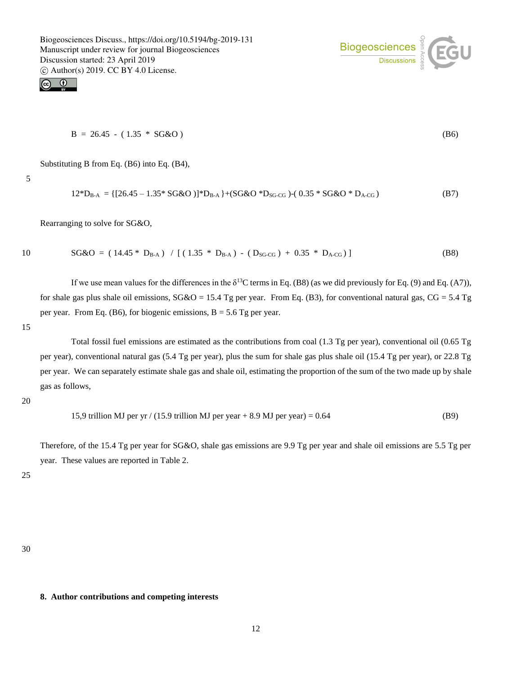



 $B = 26.45 - (1.35 * SG&O)$  (B6)

Substituting B from Eq. (B6) into Eq. (B4),

5

$$
12^*D_{B-A} = \{ [26.45 - 1.35^* S G \& O ] \}^*D_{B-A} \} + (SG \& O \,^*D_{SG \cdot CG}) - (0.35^* S G \& O \,^*D_{A \cdot CG}) \tag{B7}
$$

Rearranging to solve for SG&O,

10 
$$
SG\&O = (14.45 * D_{B-A}) / [(1.35 * D_{B-A}) - (D_{SG \cdot CG}) + 0.35 * D_{A \cdot CG})]
$$
 (B8)

If we use mean values for the differences in the  $\delta^{13}$ C terms in Eq. (B8) (as we did previously for Eq. (9) and Eq. (A7)), for shale gas plus shale oil emissions,  $SG&O = 15.4$  Tg per year. From Eq. (B3), for conventional natural gas,  $CG = 5.4$  Tg per year. From Eq. (B6), for biogenic emissions,  $B = 5.6$  Tg per year.

15

Total fossil fuel emissions are estimated as the contributions from coal (1.3 Tg per year), conventional oil (0.65 Tg per year), conventional natural gas (5.4 Tg per year), plus the sum for shale gas plus shale oil (15.4 Tg per year), or 22.8 Tg per year. We can separately estimate shale gas and shale oil, estimating the proportion of the sum of the two made up by shale gas as follows,

20

15.9 trillion MJ per yr 
$$
/(15.9 \text{ trillion MJ per year} + 8.9 \text{ MJ per year}) = 0.64
$$
 (B9)

Therefore, of the 15.4 Tg per year for SG&O, shale gas emissions are 9.9 Tg per year and shale oil emissions are 5.5 Tg per year. These values are reported in Table 2.

25

30

# **8. Author contributions and competing interests**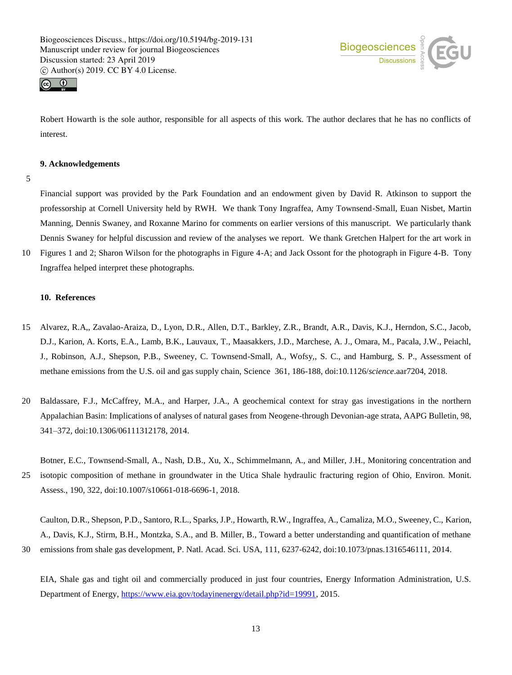



Robert Howarth is the sole author, responsible for all aspects of this work. The author declares that he has no conflicts of interest.

# **9. Acknowledgements**

5

Financial support was provided by the Park Foundation and an endowment given by David R. Atkinson to support the professorship at Cornell University held by RWH. We thank Tony Ingraffea, Amy Townsend-Small, Euan Nisbet, Martin Manning, Dennis Swaney, and Roxanne Marino for comments on earlier versions of this manuscript. We particularly thank Dennis Swaney for helpful discussion and review of the analyses we report. We thank Gretchen Halpert for the art work in

10 Figures 1 and 2; Sharon Wilson for the photographs in Figure 4-A; and Jack Ossont for the photograph in Figure 4-B. Tony Ingraffea helped interpret these photographs.

# **10. References**

- 15 Alvarez, R.A,, Zavalao-Araiza, D., Lyon, D.R., Allen, D.T., Barkley, Z.R., Brandt, A.R., Davis, K.J., Herndon, S.C., Jacob, D.J., Karion, A. Korts, E.A., Lamb, B.K., Lauvaux, T., Maasakkers, J.D., Marchese, A. J., Omara, M., Pacala, J.W., Peiachl, J., Robinson, A.J., Shepson, P.B., Sweeney, C. Townsend-Small, A., Wofsy,, S. C., and Hamburg, S. P., Assessment of methane emissions from the U.S. oil and gas supply chain, Science 361, 186-188, doi:10.1126/*science*.aar7204, 2018.
- 20 Baldassare, F.J., McCaffrey, M.A., and Harper, J.A., A geochemical context for stray gas investigations in the northern Appalachian Basin: Implications of analyses of natural gases from Neogene-through Devonian-age strata, AAPG Bulletin, 98, 341*–*372, doi:10.1306/06111312178, 2014.

Botner, E.C., Townsend-Small, A., Nash, D.B., Xu, X., Schimmelmann, A., and Miller, J.H., Monitoring concentration and 25 isotopic composition of methane in groundwater in the Utica Shale hydraulic fracturing region of Ohio, Environ. Monit. Assess., 190, 322, doi:10.1007/s10661-018-6696-1, 2018.

Caulton, D.R., Shepson, P.D., Santoro, R.L., Sparks, J.P., Howarth, R.W., Ingraffea, A., Camaliza, M.O., Sweeney, C., Karion, A., Davis, K.J., Stirm, B.H., Montzka, S.A., and B. Miller, B., Toward a better understanding and quantification of methane 30 emissions from shale gas development, P. Natl. Acad. Sci. USA, 111, 6237-6242, doi:10.1073/pnas.1316546111, 2014.

EIA, Shale gas and tight oil and commercially produced in just four countries, Energy Information Administration, U.S. Department of Energy, https://www.eia.gov/todayinenergy/detail.php?id=19991, 2015.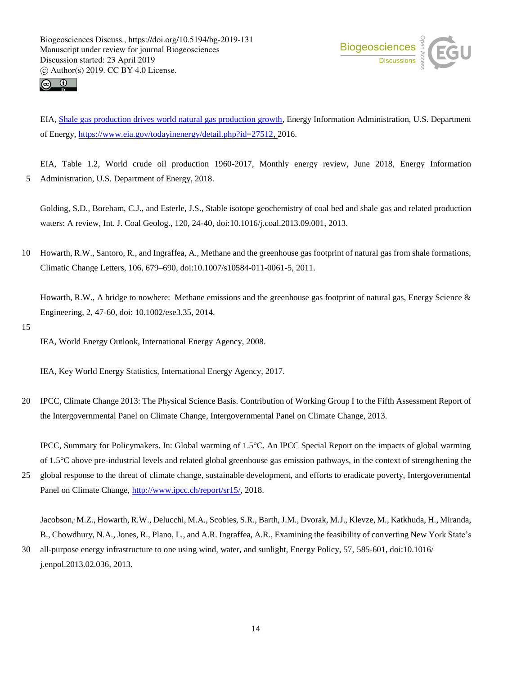



EIA, Shale gas production drives world natural gas production growth, Energy Information Administration, U.S. Department of Energy, https://www.eia.gov/todayinenergy/detail.php?id=27512, 2016.

EIA, Table 1.2, World crude oil production 1960-2017, Monthly energy review, June 2018, Energy Information 5 Administration, U.S. Department of Energy, 2018.

Golding, S.D., Boreham, C.J., and Esterle, J.S., Stable isotope geochemistry of coal bed and shale gas and related production waters: A review, Int. J. Coal Geolog., 120, 24-40, doi:10.1016/j.coal.2013.09.001, 2013.

10 Howarth, R.W., Santoro, R., and Ingraffea, A., Methane and the greenhouse gas footprint of natural gas from shale formations, Climatic Change Letters, 106, 679–690, doi:10.1007/s10584-011-0061-5, 2011.

Howarth, R.W., A bridge to nowhere: Methane emissions and the greenhouse gas footprint of natural gas, Energy Science & Engineering, 2, 47-60, doi: 10.1002/ese3.35, 2014.

15

IEA, World Energy Outlook, International Energy Agency, 2008.

IEA, Key World Energy Statistics, International Energy Agency, 2017.

20 IPCC, Climate Change 2013: The Physical Science Basis. Contribution of Working Group I to the Fifth Assessment Report of the Intergovernmental Panel on Climate Change, Intergovernmental Panel on Climate Change, 2013.

IPCC, Summary for Policymakers. In: Global warming of 1.5°C. An IPCC Special Report on the impacts of global warming of 1.5°C above pre-industrial levels and related global greenhouse gas emission pathways, in the context of strengthening the

25 global response to the threat of climate change, sustainable development, and efforts to eradicate poverty, Intergovernmental Panel on Climate Change, http://www.ipcc.ch/report/sr15/, 2018.

Jacobson,, M.Z., Howarth, R.W., Delucchi, M.A., Scobies, S.R., Barth, J.M., Dvorak, M.J., Klevze, M., Katkhuda, H., Miranda, B., Chowdhury, N.A., Jones, R., Plano, L., and A.R. Ingraffea, A.R., Examining the feasibility of converting New York State's

30 all-purpose energy infrastructure to one using wind, water, and sunlight, Energy Policy, 57, 585-601, doi:10.1016/ j.enpol.2013.02.036, 2013.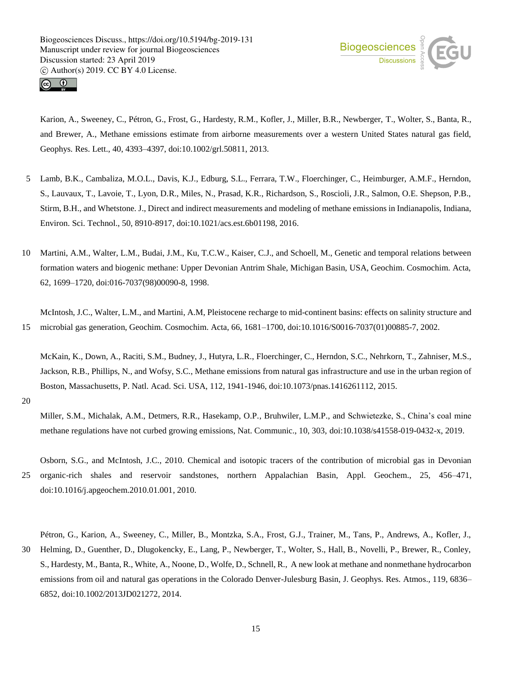



Karion, A., Sweeney, C., Pétron, G., Frost, G., Hardesty, R.M., Kofler, J., Miller, B.R., Newberger, T., Wolter, S., Banta, R., and Brewer, A., Methane emissions estimate from airborne measurements over a western United States natural gas field, Geophys. Res. Lett., 40, 4393–4397, doi:10.1002/grl.50811, 2013.

- 5 Lamb, B.K., Cambaliza, M.O.L., Davis, K.J., Edburg, S.L., Ferrara, T.W., Floerchinger, C., Heimburger, A.M.F., Herndon, S., Lauvaux, T., Lavoie, T., Lyon, D.R., Miles, N., Prasad, K.R., Richardson, S., Roscioli, J.R., Salmon, O.E. Shepson, P.B., Stirm, B.H., and Whetstone. J., Direct and indirect measurements and modeling of methane emissions in Indianapolis, Indiana, Environ. Sci. Technol., 50, 8910-8917, doi:10.1021/acs.est.6b01198, 2016.
- 10 Martini, A.M., Walter, L.M., Budai, J.M., Ku, T.C.W., Kaiser, C.J., and Schoell, M., Genetic and temporal relations between formation waters and biogenic methane: Upper Devonian Antrim Shale, Michigan Basin, USA, Geochim. Cosmochim. Acta, 62, 1699–1720, doi:016-7037(98)00090-8, 1998.

McIntosh, J.C., Walter, L.M., and Martini, A.M, Pleistocene recharge to mid-continent basins: effects on salinity structure and 15 microbial gas generation, Geochim. Cosmochim. Acta, 66, 1681–1700, doi:10.1016/S0016-7037(01)00885-7, 2002.

McKain, K., Down, A., Raciti, S.M., Budney, J., Hutyra, L.R., Floerchinger, C., Herndon, S.C., Nehrkorn, T., Zahniser, M.S., Jackson, R.B., Phillips, N., and Wofsy, S.C., Methane emissions from natural gas infrastructure and use in the urban region of Boston, Massachusetts, P. Natl. Acad. Sci. USA, 112, 1941-1946, doi:10.1073/pnas.1416261112, 2015.

20

Miller, S.M., Michalak, A.M., Detmers, R.R., Hasekamp, O.P., Bruhwiler, L.M.P., and Schwietezke, S., China's coal mine methane regulations have not curbed growing emissions, Nat. Communic., 10, 303, doi:10.1038/s41558-019-0432-x, 2019.

Osborn, S.G., and McIntosh, J.C., 2010. Chemical and isotopic tracers of the contribution of microbial gas in Devonian 25 organic-rich shales and reservoir sandstones, northern Appalachian Basin, Appl. Geochem., 25, 456–471, doi:10.1016/j.apgeochem.2010.01.001, 2010.

Pétron, G., Karion, A., Sweeney, C., Miller, B., Montzka, S.A., Frost, G.J., Trainer, M., Tans, P., Andrews, A., Kofler, J.,

30 Helming, D., Guenther, D., Dlugokencky, E., Lang, P., Newberger, T., Wolter, S., Hall, B., Novelli, P., Brewer, R., Conley, S., Hardesty, M., Banta, R., White, A., Noone, D., Wolfe, D., Schnell, R., A new look at methane and nonmethane hydrocarbon emissions from oil and natural gas operations in the Colorado Denver-Julesburg Basin, J. Geophys. Res. Atmos., 119, 6836– 6852, doi:10.1002/2013JD021272*,* 2014.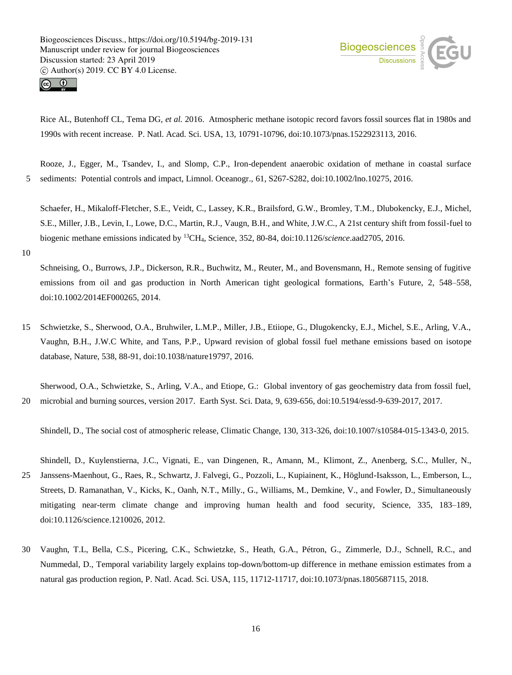



Rice AL, Butenhoff CL, Tema DG, *et al.* 2016. Atmospheric methane isotopic record favors fossil sources flat in 1980s and 1990s with recent increase. P. Natl. Acad. Sci. USA, 13, 10791-10796, doi:10.1073/pnas.1522923113, 2016.

Rooze, J., Egger, M., Tsandev, I., and Slomp, C.P., Iron-dependent anaerobic oxidation of methane in coastal surface 5 sediments: Potential controls and impact, Limnol. Oceanogr., 61, S267-S282, doi:10.1002/lno.10275, 2016.

Schaefer, H., Mikaloff-Fletcher, S.E., Veidt, C., Lassey, K.R., Brailsford, G.W., Bromley, T.M., Dlubokencky, E.J., Michel, S.E., Miller, J.B., Levin, I., Lowe, D.C., Martin, R.J., Vaugn, B.H., and White, J.W.C., A 21st century shift from fossil-fuel to biogenic methane emissions indicated by <sup>13</sup>CH4*,* Science, 352, 80-84, doi:10.1126/*science*.aad2705, 2016.

10

Schneising, O., Burrows, J.P., Dickerson, R.R., Buchwitz, M., Reuter, M., and Bovensmann, H., Remote sensing of fugitive emissions from oil and gas production in North American tight geological formations, Earth's Future, 2, 548–558, doi:10.1002*/*2014EF000265*,* 2014.

15 Schwietzke, S., Sherwood, O.A., Bruhwiler, L.M.P., Miller, J.B., Etiiope, G., Dlugokencky, E.J., Michel, S.E., Arling, V.A., Vaughn, B.H., J.W.C White, and Tans, P.P., Upward revision of global fossil fuel methane emissions based on isotope database, Nature, 538, 88-91, doi:10.1038/nature19797, 2016.

Sherwood, O.A., Schwietzke, S., Arling, V.A., and Etiope, G.: Global inventory of gas geochemistry data from fossil fuel, 20 microbial and burning sources, version 2017. Earth Syst. Sci. Data, 9, 639-656, doi:10.5194/essd-9*-*639*-*2017*,* 2017.

Shindell, D., The social cost of atmospheric release, Climatic Change, 130, 313-326, doi:10.1007/s10584-015-1343-0, 2015.

Shindell, D., Kuylenstierna, J.C., Vignati, E., van Dingenen, R., Amann, M., Klimont, Z., Anenberg, S.C., Muller, N., 25 Janssens-Maenhout, G., Raes, R., Schwartz, J. Falvegi, G., Pozzoli, L., Kupiainent, K., Höglund-Isaksson, L., Emberson, L., Streets, D. Ramanathan, V., Kicks, K., Oanh, N.T., Milly., G., Williams, M., Demkine, V., and Fowler, D., Simultaneously mitigating near-term climate change and improving human health and food security, Science, 335, 183–189, doi:10.1126/science.1210026, 2012.

30 Vaughn, T.L, Bella, C.S., Picering, C.K., Schwietzke, S., Heath, G.A., Pétron, G., Zimmerle, D.J., Schnell, R.C., and Nummedal, D., Temporal variability largely explains top-down/bottom-up difference in methane emission estimates from a natural gas production region, P. Natl. Acad. Sci. USA, 115*,* 11712-11717, doi:10.1073/pnas.1805687115, 2018.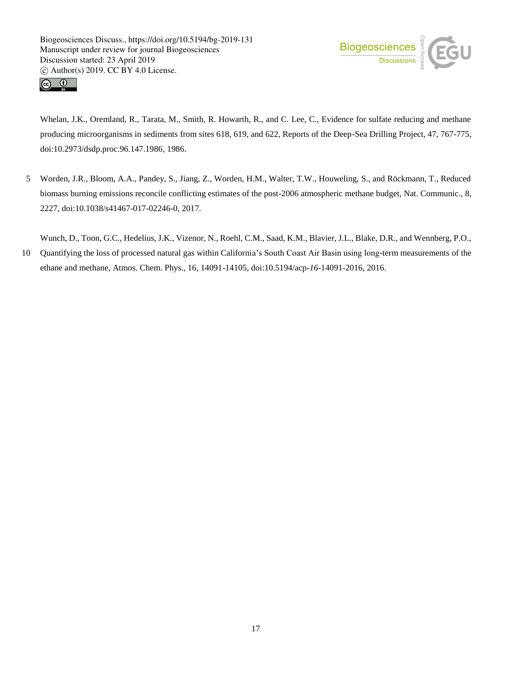



Whelan, J.K., Oremland, R., Tarata, M., Smith, R. Howarth, R., and C. Lee, C., Evidence for sulfate reducing and methane producing microorganisms in sediments from sites 618, 619, and 622, Reports of the Deep-Sea Drilling Project, 47, 767-775, doi:10.2973/dsdp.proc.96.147.1986, 1986.

5 Worden, J.R., Bloom, A.A., Pandey, S., Jiang, Z., Worden, H.M., Walter, T.W., Houweling, S., and Röckmann, T., Reduced biomass burning emissions reconcile conflicting estimates of the post-2006 atmospheric methane budget, Nat. Communic., 8, 2227, doi:10.1038/s41467-017-02246-0, 2017.

Wunch, D., Toon, G.C., Hedelius, J.K., Vizenor, N., Roehl, C.M., Saad, K.M., Blavier, J.L., Blake, D.R., and Wennberg, P.O.,

10 Quantifying the loss of processed natural gas within California's South Coast Air Basin using long-term measurements of the ethane and methane, Atmos. Chem. Phys., 16, 14091-14105, doi:10.5194/acp-*16*-14091-2016*,* 2016.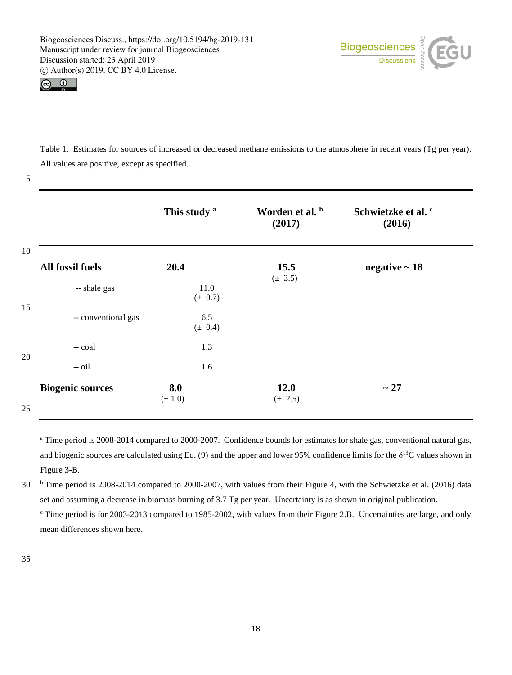



Table 1. Estimates for sources of increased or decreased methane emissions to the atmosphere in recent years (Tg per year). All values are positive, except as specified.

#### 5

|                         | This study <sup>a</sup> | Worden et al. b<br>(2017) | Schwietzke et al. <sup>c</sup><br>(2016) |
|-------------------------|-------------------------|---------------------------|------------------------------------------|
| 10<br>All fossil fuels  | 20.4                    | 15.5<br>$(\pm 3.5)$       | negative $\sim$ 18                       |
| -- shale gas            | 11.0<br>(± 0.7)         |                           |                                          |
| -- conventional gas     | 6.5<br>(± 0.4)          |                           |                                          |
| -- coal                 | 1.3                     |                           |                                          |
| $-$ oil                 | 1.6                     |                           |                                          |
| <b>Biogenic sources</b> | 8.0<br>$(\pm 1.0)$      | 12.0<br>$(\pm 2.5)$       | $\sim 27$                                |

<sup>a</sup> Time period is 2008-2014 compared to 2000-2007. Confidence bounds for estimates for shale gas, conventional natural gas, and biogenic sources are calculated using Eq. (9) and the upper and lower 95% confidence limits for the  $\delta^{13}C$  values shown in Figure 3-B.

 $30$  <sup>b</sup> Time period is 2008-2014 compared to 2000-2007, with values from their Figure 4, with the Schwietzke et al. (2016) data set and assuming a decrease in biomass burning of 3.7 Tg per year. Uncertainty is as shown in original publication. <sup>c</sup> Time period is for 2003-2013 compared to 1985-2002, with values from their Figure 2.B. Uncertainties are large, and only mean differences shown here.

35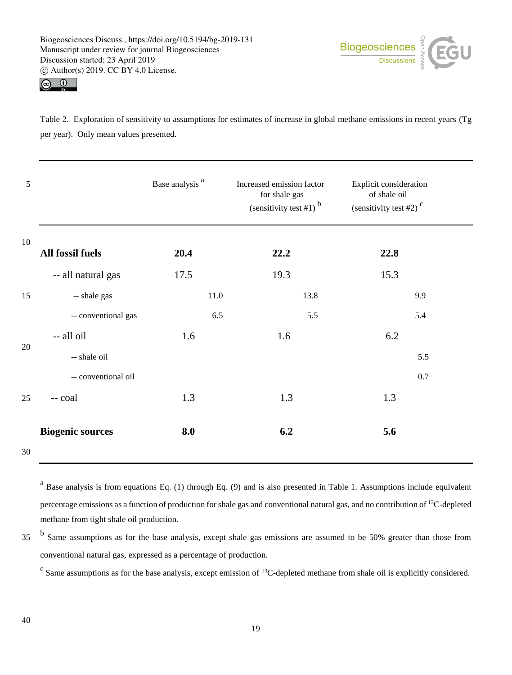



Table 2. Exploration of sensitivity to assumptions for estimates of increase in global methane emissions in recent years (Tg per year). Only mean values presented.

| 5  |                         | Base analysis <sup>a</sup> | Increased emission factor<br>for shale gas<br>(sensitivity test #1) $b$ | Explicit consideration<br>of shale oil<br>(sensitivity test #2) $c$ |
|----|-------------------------|----------------------------|-------------------------------------------------------------------------|---------------------------------------------------------------------|
| 10 | All fossil fuels        | 20.4                       | 22.2                                                                    | 22.8                                                                |
|    | -- all natural gas      | 17.5                       | 19.3                                                                    | 15.3                                                                |
| 15 | -- shale gas            | 11.0                       | 13.8                                                                    | 9.9                                                                 |
|    | -- conventional gas     | 6.5                        | 5.5                                                                     | 5.4                                                                 |
| 20 | -- all oil              | 1.6                        | 1.6                                                                     | 6.2                                                                 |
|    | -- shale oil            |                            |                                                                         | 5.5                                                                 |
|    | -- conventional oil     |                            |                                                                         | 0.7                                                                 |
| 25 | -- coal                 | 1.3                        | 1.3                                                                     | 1.3                                                                 |
| 30 | <b>Biogenic sources</b> | 8.0                        | 6.2                                                                     | 5.6                                                                 |

<sup>a</sup> Base analysis is from equations Eq. (1) through Eq. (9) and is also presented in Table 1. Assumptions include equivalent percentage emissions as a function of production for shale gas and conventional natural gas, and no contribution of <sup>13</sup>C-depleted methane from tight shale oil production.

<sup>b</sup> Same assumptions as for the base analysis, except shale gas emissions are assumed to be 50% greater than those from conventional natural gas, expressed as a percentage of production.

 $\textdegree$  Same assumptions as for the base analysis, except emission of <sup>13</sup>C-depleted methane from shale oil is explicitly considered.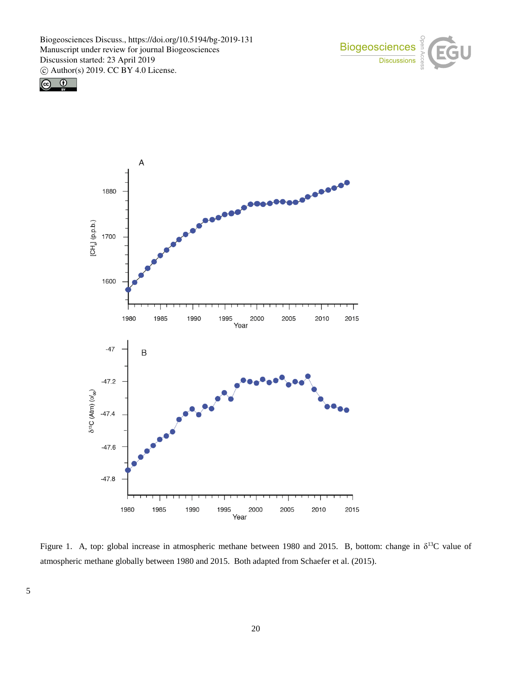





Figure 1. A, top: global increase in atmospheric methane between 1980 and 2015. B, bottom: change in  $\delta^{13}C$  value of atmospheric methane globally between 1980 and 2015. Both adapted from Schaefer et al. (2015).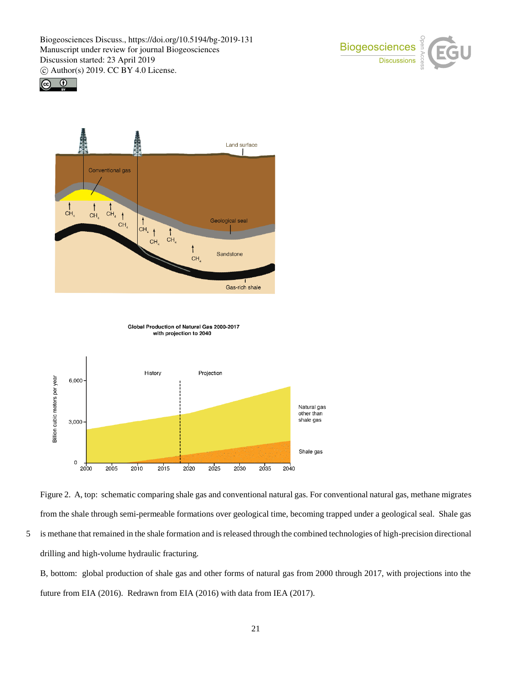





Global Production of Natural Gas 2000-2017 with projection to 2040





5 is methane that remained in the shale formation and is released through the combined technologies of high-precision directional drilling and high-volume hydraulic fracturing.

B, bottom: global production of shale gas and other forms of natural gas from 2000 through 2017, with projections into the future from EIA (2016). Redrawn from EIA (2016) with data from IEA (2017).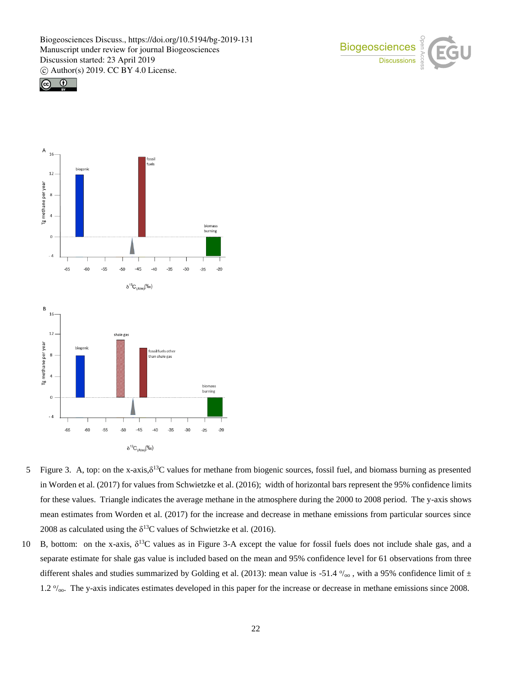





- 5 Figure 3. A, top: on the x-axis, $\delta^{13}C$  values for methane from biogenic sources, fossil fuel, and biomass burning as presented in Worden et al. (2017) for values from Schwietzke et al. (2016); width of horizontal bars represent the 95% confidence limits for these values. Triangle indicates the average methane in the atmosphere during the 2000 to 2008 period. The y-axis shows mean estimates from Worden et al. (2017) for the increase and decrease in methane emissions from particular sources since 2008 as calculated using the  $\delta^{13}$ C values of Schwietzke et al. (2016).
- 10 B, bottom: on the x-axis,  $\delta^{13}C$  values as in Figure 3-A except the value for fossil fuels does not include shale gas, and a separate estimate for shale gas value is included based on the mean and 95% confidence level for 61 observations from three different shales and studies summarized by Golding et al. (2013): mean value is -51.4  $\%$ <sub>00</sub>, with a 95% confidence limit of  $\pm$ 1.2  $\%$ <sub>oo</sub>. The y-axis indicates estimates developed in this paper for the increase or decrease in methane emissions since 2008.